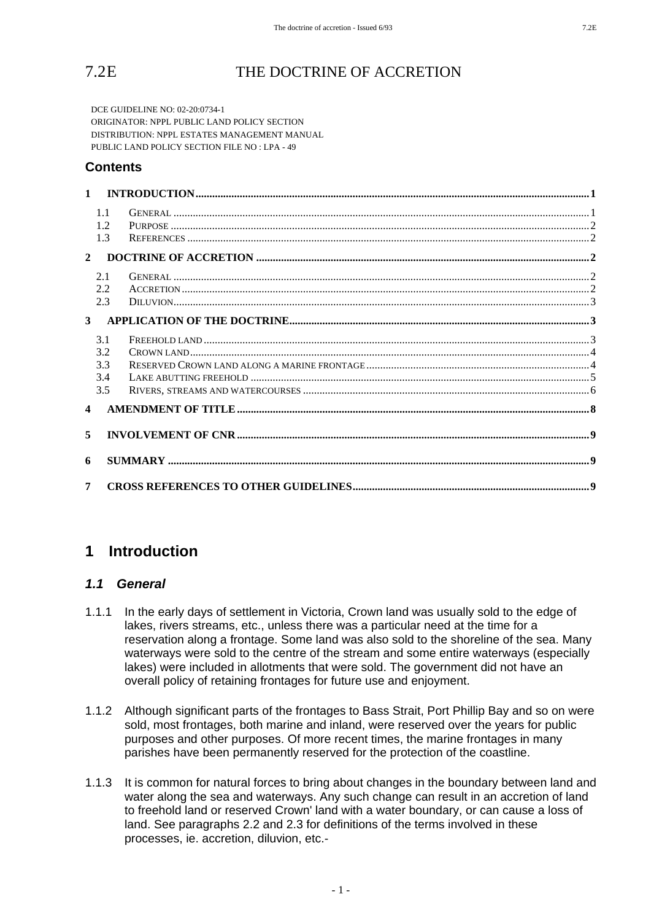# 7.2E THE DOCTRINE OF ACCRETION

DCE GUIDELINE NO: 02-20:0734-1 ORIGINATOR: NPPL PUBLIC LAND POLICY SECTION DISTRIBUTION: NPPL ESTATES MANAGEMENT MANUAL PUBLIC LAND POLICY SECTION FILE NO : LPA - 49

### **Contents**

|                | 1.1<br>1.2<br>1.3 |  |
|----------------|-------------------|--|
|                | $\overline{2}$    |  |
|                | 2.1<br>2.2<br>2.3 |  |
|                | 3 <sup>1</sup>    |  |
|                | 3.1<br>3.2        |  |
|                | 3.3               |  |
|                | 3.4<br>3.5        |  |
|                | $\overline{4}$    |  |
| 5              |                   |  |
| 6              |                   |  |
| $\overline{7}$ |                   |  |

# **1 Introduction**

#### *1.1 General*

- 1.1.1 In the early days of settlement in Victoria, Crown land was usually sold to the edge of lakes, rivers streams, etc., unless there was a particular need at the time for a reservation along a frontage. Some land was also sold to the shoreline of the sea. Many waterways were sold to the centre of the stream and some entire waterways (especially lakes) were included in allotments that were sold. The government did not have an overall policy of retaining frontages for future use and enjoyment.
- 1.1.2 Although significant parts of the frontages to Bass Strait, Port Phillip Bay and so on were sold, most frontages, both marine and inland, were reserved over the years for public purposes and other purposes. Of more recent times, the marine frontages in many parishes have been permanently reserved for the protection of the coastline.
- 1.1.3 It is common for natural forces to bring about changes in the boundary between land and water along the sea and waterways. Any such change can result in an accretion of land to freehold land or reserved Crown' land with a water boundary, or can cause a loss of land. See paragraphs 2.2 and 2.3 for definitions of the terms involved in these processes, ie. accretion, diluvion, etc.-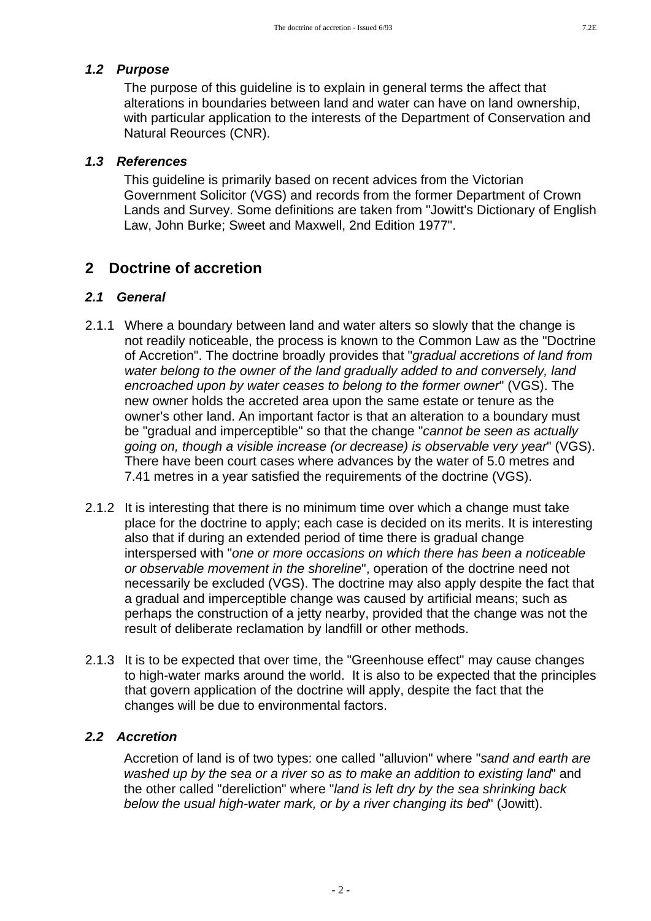#### *1.2 Purpose*

The purpose of this guideline is to explain in general terms the affect that alterations in boundaries between land and water can have on land ownership, with particular application to the interests of the Department of Conservation and Natural Reources (CNR).

# *1.3 References*

This guideline is primarily based on recent advices from the Victorian Government Solicitor (VGS) and records from the former Department of Crown Lands and Survey. Some definitions are taken from "Jowitt's Dictionary of English Law, John Burke; Sweet and Maxwell, 2nd Edition 1977".

# **2 Doctrine of accretion**

#### *2.1 General*

- 2.1.1 Where a boundary between land and water alters so slowly that the change is not readily noticeable, the process is known to the Common Law as the "Doctrine of Accretion". The doctrine broadly provides that "*gradual accretions of land from water belong to the owner of the land gradually added to and conversely, land encroached upon by water ceases to belong to the former owner*" (VGS). The new owner holds the accreted area upon the same estate or tenure as the owner's other land. An important factor is that an alteration to a boundary must be "gradual and imperceptible" so that the change "*cannot be seen as actually going on, though a visible increase (or decrease) is observable very year*" (VGS). There have been court cases where advances by the water of 5.0 metres and 7.41 metres in a year satisfied the requirements of the doctrine (VGS).
- 2.1.2 It is interesting that there is no minimum time over which a change must take place for the doctrine to apply; each case is decided on its merits. It is interesting also that if during an extended period of time there is gradual change interspersed with "*one or more occasions on which there has been a noticeable or observable movement in the shoreline*", operation of the doctrine need not necessarily be excluded (VGS). The doctrine may also apply despite the fact that a gradual and imperceptible change was caused by artificial means; such as perhaps the construction of a jetty nearby, provided that the change was not the result of deliberate reclamation by landfill or other methods.
- 2.1.3 It is to be expected that over time, the "Greenhouse effect" may cause changes to high-water marks around the world. It is also to be expected that the principles that govern application of the doctrine will apply, despite the fact that the changes will be due to environmental factors.

### *2.2 Accretion*

Accretion of land is of two types: one called "alluvion" where "*sand and earth are washed up by the sea or a river so as to make an addition to existing land*" and the other called "dereliction" where "*land is left dry by the sea shrinking back below the usual high-water mark, or by a river changing its bed*" (Jowitt).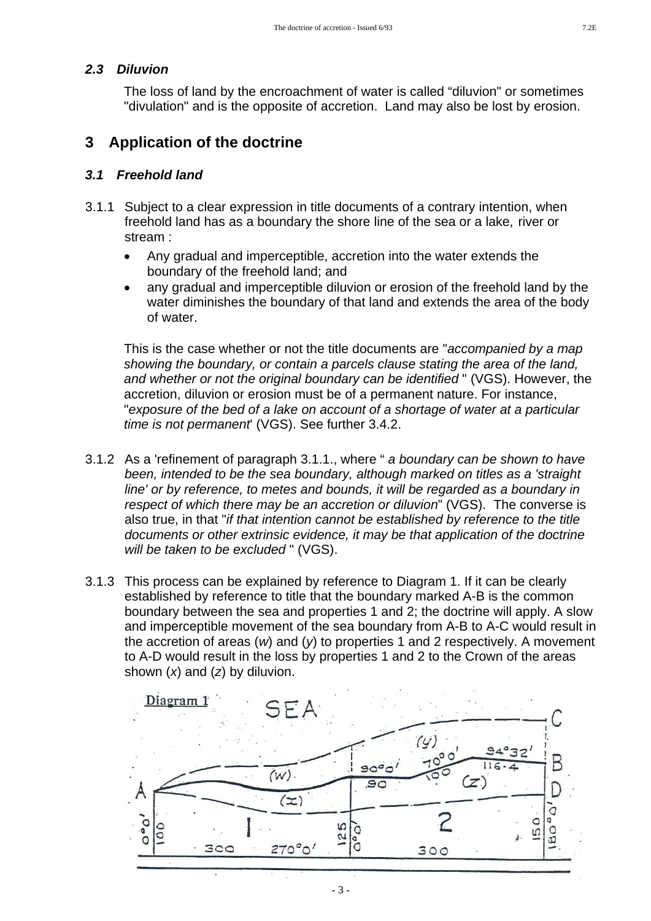#### *2.3 Diluvion*

The loss of land by the encroachment of water is called "diluvion" or sometimes "divulation" and is the opposite of accretion. Land may also be lost by erosion.

# **3 Application of the doctrine**

#### *3.1 Freehold land*

- 3.1.1 Subject to a clear expression in title documents of a contrary intention, when freehold land has as a boundary the shore line of the sea or a lake, river or stream :
	- Any gradual and imperceptible, accretion into the water extends the boundary of the freehold land; and
	- any gradual and imperceptible diluvion or erosion of the freehold land by the water diminishes the boundary of that land and extends the area of the body of water.

This is the case whether or not the title documents are "*accompanied by a map showing the boundary, or contain a parcels clause stating the area of the land, and whether or not the original boundary can be identified* " (VGS). However, the accretion, diluvion or erosion must be of a permanent nature. For instance, "*exposure of the bed of a lake on account of a shortage of water at a particular time is not permanent*' (VGS). See further 3.4.2.

- 3.1.2 As a 'refinement of paragraph 3.1.1., where " *a boundary can be shown to have been, intended to be the sea boundary, although marked on titles as a 'straight line' or by reference, to metes and bounds, it will be regarded as a boundary in respect of which there may be an accretion or diluvion*" (VGS). The converse is also true, in that "*if that intention cannot be established by reference to the title documents or other extrinsic evidence, it may be that application of the doctrine will be taken to be excluded* " (VGS).
- 3.1.3 This process can be explained by reference to Diagram 1. If it can be clearly established by reference to title that the boundary marked A-B is the common boundary between the sea and properties 1 and 2; the doctrine will apply. A slow and imperceptible movement of the sea boundary from A-B to A-C would result in the accretion of areas (*w*) and (*y*) to properties 1 and 2 respectively. A movement to A-D would result in the loss by properties 1 and 2 to the Crown of the areas shown (*x*) and (*z*) by diluvion.

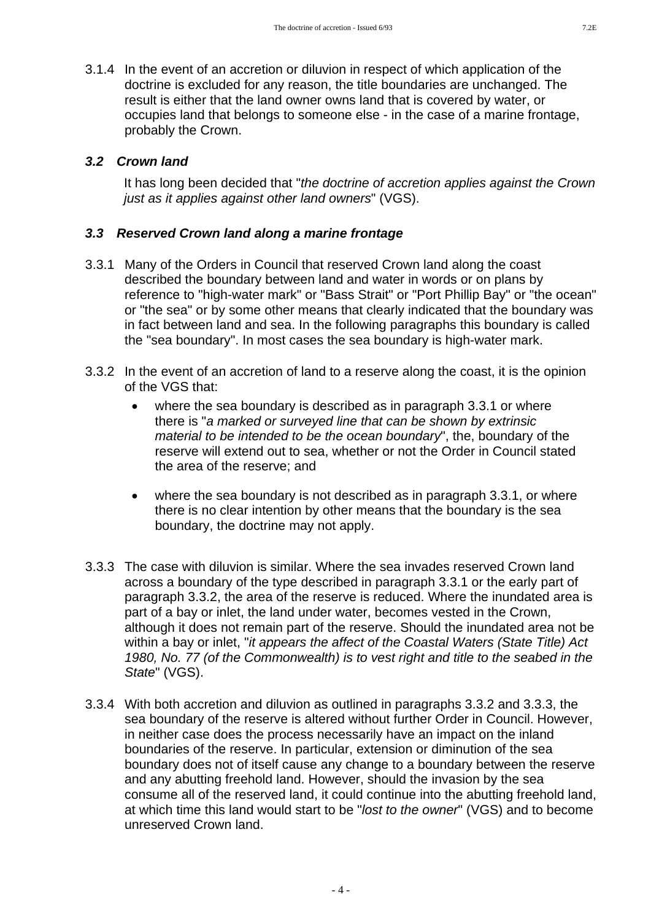- 
- 3.1.4 In the event of an accretion or diluvion in respect of which application of the doctrine is excluded for any reason, the title boundaries are unchanged. The result is either that the land owner owns land that is covered by water, or occupies land that belongs to someone else - in the case of a marine frontage, probably the Crown.

### *3.2 Crown land*

It has long been decided that "*the doctrine of accretion applies against the Crown just as it applies against other land owners*" (VGS).

### *3.3 Reserved Crown land along a marine frontage*

- 3.3.1 Many of the Orders in Council that reserved Crown land along the coast described the boundary between land and water in words or on plans by reference to "high-water mark" or "Bass Strait" or "Port Phillip Bay" or "the ocean" or "the sea" or by some other means that clearly indicated that the boundary was in fact between land and sea. In the following paragraphs this boundary is called the "sea boundary". In most cases the sea boundary is high-water mark.
- 3.3.2 In the event of an accretion of land to a reserve along the coast, it is the opinion of the VGS that:
	- where the sea boundary is described as in paragraph 3.3.1 or where there is "*a marked or surveyed line that can be shown by extrinsic material to be intended to be the ocean boundary*", the, boundary of the reserve will extend out to sea, whether or not the Order in Council stated the area of the reserve; and
	- where the sea boundary is not described as in paragraph 3.3.1, or where there is no clear intention by other means that the boundary is the sea boundary, the doctrine may not apply.
- 3.3.3 The case with diluvion is similar. Where the sea invades reserved Crown land across a boundary of the type described in paragraph 3.3.1 or the early part of paragraph 3.3.2, the area of the reserve is reduced. Where the inundated area is part of a bay or inlet, the land under water, becomes vested in the Crown, although it does not remain part of the reserve. Should the inundated area not be within a bay or inlet, "*it appears the affect of the Coastal Waters (State Title) Act 1980, No. 77 (of the Commonwealth) is to vest right and title to the seabed in the State*" (VGS).
- 3.3.4 With both accretion and diluvion as outlined in paragraphs 3.3.2 and 3.3.3, the sea boundary of the reserve is altered without further Order in Council. However, in neither case does the process necessarily have an impact on the inland boundaries of the reserve. In particular, extension or diminution of the sea boundary does not of itself cause any change to a boundary between the reserve and any abutting freehold land. However, should the invasion by the sea consume all of the reserved land, it could continue into the abutting freehold land, at which time this land would start to be "*lost to the owner*" (VGS) and to become unreserved Crown land.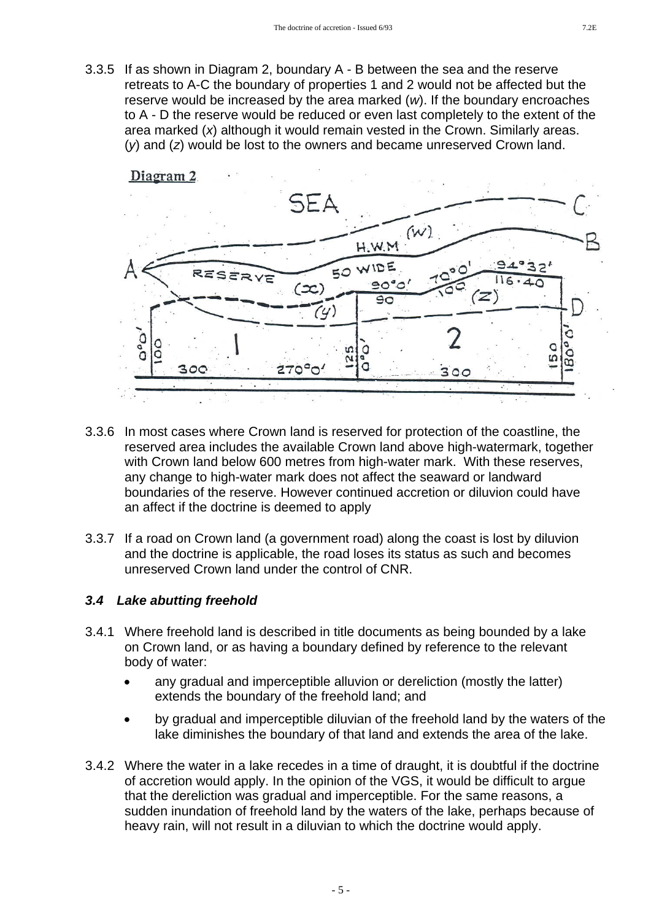3.3.5 If as shown in Diagram 2, boundary A - B between the sea and the reserve retreats to A-C the boundary of properties 1 and 2 would not be affected but the reserve would be increased by the area marked (*w*). If the boundary encroaches to A - D the reserve would be reduced or even last completely to the extent of the area marked (*x*) although it would remain vested in the Crown. Similarly areas. (*y*) and (*z*) would be lost to the owners and became unreserved Crown land.



- 3.3.6 In most cases where Crown land is reserved for protection of the coastline, the reserved area includes the available Crown land above high-watermark, together with Crown land below 600 metres from high-water mark. With these reserves, any change to high-water mark does not affect the seaward or landward boundaries of the reserve. However continued accretion or diluvion could have an affect if the doctrine is deemed to apply
- 3.3.7 If a road on Crown land (a government road) along the coast is lost by diluvion and the doctrine is applicable, the road loses its status as such and becomes unreserved Crown land under the control of CNR.

#### *3.4 Lake abutting freehold*

- 3.4.1 Where freehold land is described in title documents as being bounded by a lake on Crown land, or as having a boundary defined by reference to the relevant body of water:
	- any gradual and imperceptible alluvion or dereliction (mostly the latter) extends the boundary of the freehold land; and
	- by gradual and imperceptible diluvian of the freehold land by the waters of the lake diminishes the boundary of that land and extends the area of the lake.
- 3.4.2 Where the water in a lake recedes in a time of draught, it is doubtful if the doctrine of accretion would apply. In the opinion of the VGS, it would be difficult to argue that the dereliction was gradual and imperceptible. For the same reasons, a sudden inundation of freehold land by the waters of the lake, perhaps because of heavy rain, will not result in a diluvian to which the doctrine would apply.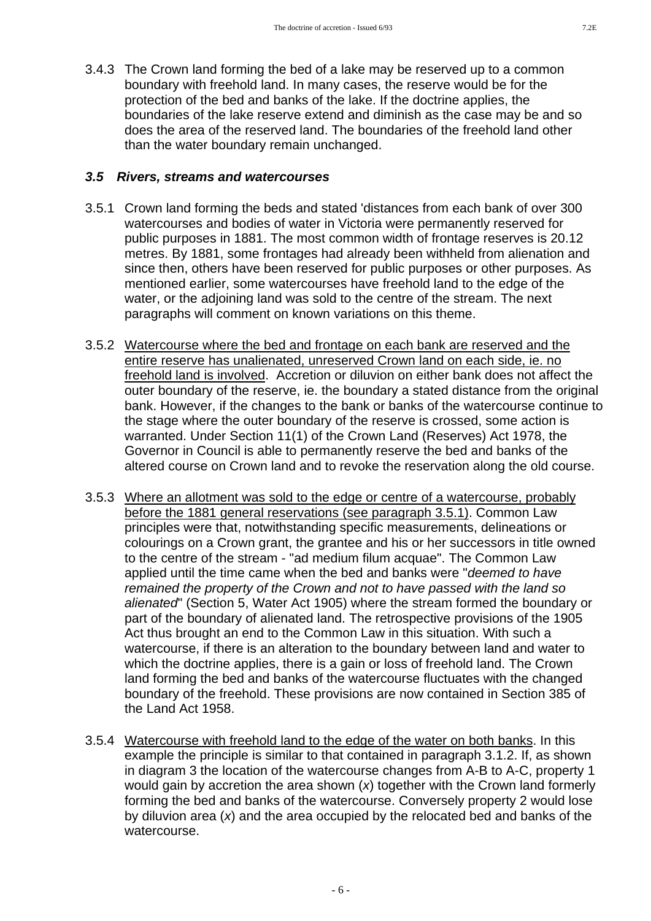3.4.3 The Crown land forming the bed of a lake may be reserved up to a common boundary with freehold land. In many cases, the reserve would be for the protection of the bed and banks of the lake. If the doctrine applies, the boundaries of the lake reserve extend and diminish as the case may be and so does the area of the reserved land. The boundaries of the freehold land other than the water boundary remain unchanged.

#### *3.5 Rivers, streams and watercourses*

- 3.5.1 Crown land forming the beds and stated 'distances from each bank of over 300 watercourses and bodies of water in Victoria were permanently reserved for public purposes in 1881. The most common width of frontage reserves is 20.12 metres. By 1881, some frontages had already been withheld from alienation and since then, others have been reserved for public purposes or other purposes. As mentioned earlier, some watercourses have freehold land to the edge of the water, or the adjoining land was sold to the centre of the stream. The next paragraphs will comment on known variations on this theme.
- 3.5.2 Watercourse where the bed and frontage on each bank are reserved and the entire reserve has unalienated, unreserved Crown land on each side, ie. no freehold land is involved. Accretion or diluvion on either bank does not affect the outer boundary of the reserve, ie. the boundary a stated distance from the original bank. However, if the changes to the bank or banks of the watercourse continue to the stage where the outer boundary of the reserve is crossed, some action is warranted. Under Section 11(1) of the Crown Land (Reserves) Act 1978, the Governor in Council is able to permanently reserve the bed and banks of the altered course on Crown land and to revoke the reservation along the old course.
- 3.5.3 Where an allotment was sold to the edge or centre of a watercourse, probably before the 1881 general reservations (see paragraph 3.5.1). Common Law principles were that, notwithstanding specific measurements, delineations or colourings on a Crown grant, the grantee and his or her successors in title owned to the centre of the stream - "ad medium filum acquae". The Common Law applied until the time came when the bed and banks were "*deemed to have remained the property of the Crown and not to have passed with the land so alienated*" (Section 5, Water Act 1905) where the stream formed the boundary or part of the boundary of alienated land. The retrospective provisions of the 1905 Act thus brought an end to the Common Law in this situation. With such a watercourse, if there is an alteration to the boundary between land and water to which the doctrine applies, there is a gain or loss of freehold land. The Crown land forming the bed and banks of the watercourse fluctuates with the changed boundary of the freehold. These provisions are now contained in Section 385 of the Land Act 1958.
- 3.5.4 Watercourse with freehold land to the edge of the water on both banks. In this example the principle is similar to that contained in paragraph 3.1.2. If, as shown in diagram 3 the location of the watercourse changes from A-B to A-C, property 1 would gain by accretion the area shown (x) together with the Crown land formerly forming the bed and banks of the watercourse. Conversely property 2 would lose by diluvion area (*x*) and the area occupied by the relocated bed and banks of the watercourse.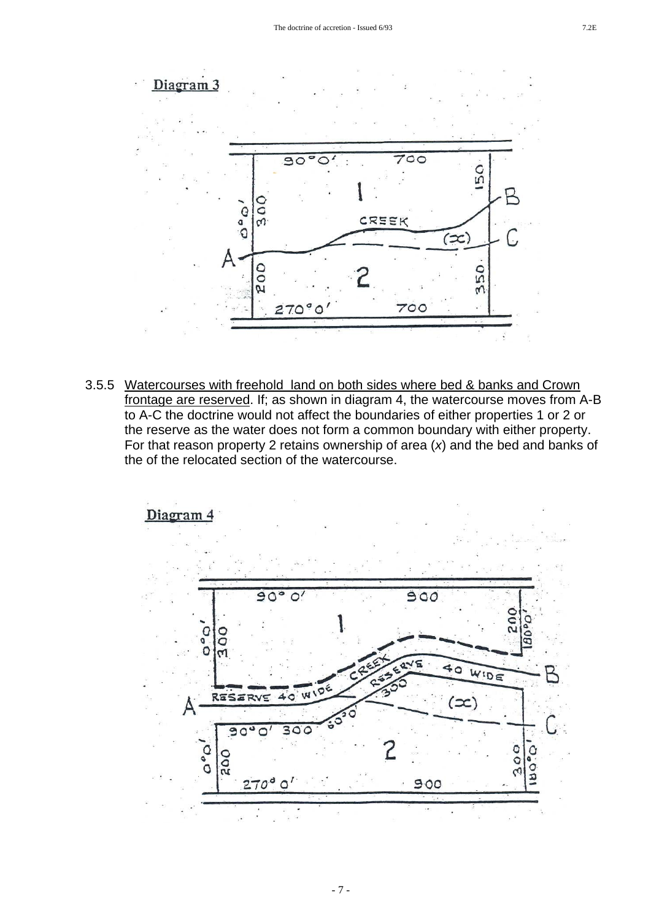

3.5.5 Watercourses with freehold land on both sides where bed & banks and Crown frontage are reserved. If; as shown in diagram 4, the watercourse moves from A-B to A-C the doctrine would not affect the boundaries of either properties 1 or 2 or the reserve as the water does not form a common boundary with either property. For that reason property 2 retains ownership of area (*x*) and the bed and banks of the of the relocated section of the watercourse.

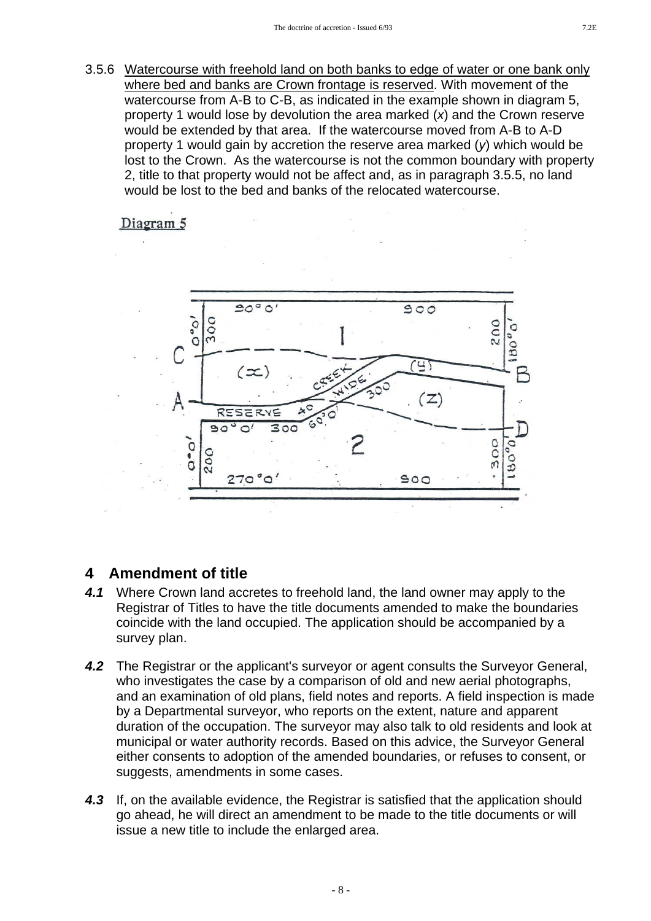3.5.6 Watercourse with freehold land on both banks to edge of water or one bank only where bed and banks are Crown frontage is reserved. With movement of the watercourse from A-B to C-B, as indicated in the example shown in diagram 5, property 1 would lose by devolution the area marked (*x*) and the Crown reserve would be extended by that area. If the watercourse moved from A-B to A-D property 1 would gain by accretion the reserve area marked (*y*) which would be lost to the Crown. As the watercourse is not the common boundary with property 2, title to that property would not be affect and, as in paragraph 3.5.5, no land would be lost to the bed and banks of the relocated watercourse.

# Diagram 5



# **4 Amendment of title**

- *4.1* Where Crown land accretes to freehold land, the land owner may apply to the Registrar of Titles to have the title documents amended to make the boundaries coincide with the land occupied. The application should be accompanied by a survey plan.
- *4.2* The Registrar or the applicant's surveyor or agent consults the Surveyor General, who investigates the case by a comparison of old and new aerial photographs, and an examination of old plans, field notes and reports. A field inspection is made by a Departmental surveyor, who reports on the extent, nature and apparent duration of the occupation. The surveyor may also talk to old residents and look at municipal or water authority records. Based on this advice, the Surveyor General either consents to adoption of the amended boundaries, or refuses to consent, or suggests, amendments in some cases.
- *4.3* If, on the available evidence, the Registrar is satisfied that the application should go ahead, he will direct an amendment to be made to the title documents or will issue a new title to include the enlarged area.